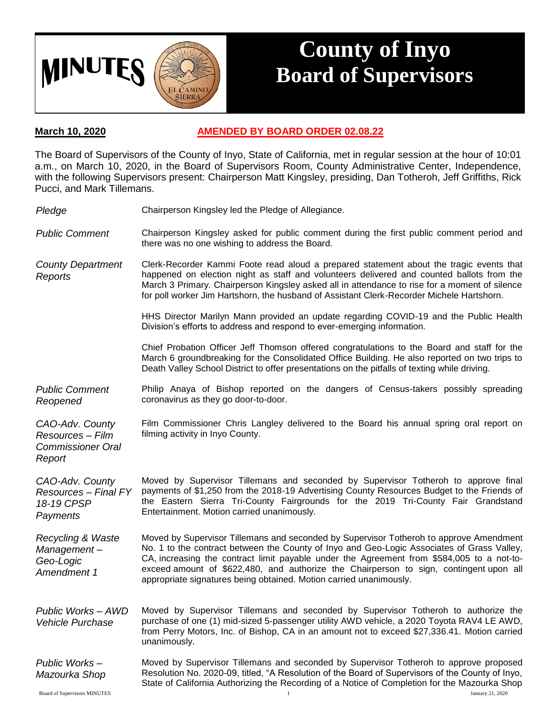

## **County of Inyo Board of Supervisors**

## **March 10, 2020 AMENDED BY BOARD ORDER 02.08.22**

The Board of Supervisors of the County of Inyo, State of California, met in regular session at the hour of 10:01 a.m., on March 10, 2020, in the Board of Supervisors Room, County Administrative Center, Independence, with the following Supervisors present: Chairperson Matt Kingsley, presiding, Dan Totheroh, Jeff Griffiths, Rick Pucci, and Mark Tillemans.

| Pledge                                                                    | Chairperson Kingsley led the Pledge of Allegiance.                                                                                                                                                                                                                                                                                                                                                                                                |
|---------------------------------------------------------------------------|---------------------------------------------------------------------------------------------------------------------------------------------------------------------------------------------------------------------------------------------------------------------------------------------------------------------------------------------------------------------------------------------------------------------------------------------------|
| <b>Public Comment</b>                                                     | Chairperson Kingsley asked for public comment during the first public comment period and<br>there was no one wishing to address the Board.                                                                                                                                                                                                                                                                                                        |
| <b>County Department</b><br>Reports                                       | Clerk-Recorder Kammi Foote read aloud a prepared statement about the tragic events that<br>happened on election night as staff and volunteers delivered and counted ballots from the<br>March 3 Primary. Chairperson Kingsley asked all in attendance to rise for a moment of silence<br>for poll worker Jim Hartshorn, the husband of Assistant Clerk-Recorder Michele Hartshorn.                                                                |
|                                                                           | HHS Director Marilyn Mann provided an update regarding COVID-19 and the Public Health<br>Division's efforts to address and respond to ever-emerging information.                                                                                                                                                                                                                                                                                  |
|                                                                           | Chief Probation Officer Jeff Thomson offered congratulations to the Board and staff for the<br>March 6 groundbreaking for the Consolidated Office Building. He also reported on two trips to<br>Death Valley School District to offer presentations on the pitfalls of texting while driving.                                                                                                                                                     |
| <b>Public Comment</b><br>Reopened                                         | Philip Anaya of Bishop reported on the dangers of Census-takers possibly spreading<br>coronavirus as they go door-to-door.                                                                                                                                                                                                                                                                                                                        |
| CAO-Adv. County<br>Resources - Film<br><b>Commissioner Oral</b><br>Report | Film Commissioner Chris Langley delivered to the Board his annual spring oral report on<br>filming activity in Inyo County.                                                                                                                                                                                                                                                                                                                       |
| CAO-Adv. County<br><b>Resources - Final FY</b><br>18-19 CPSP<br>Payments  | Moved by Supervisor Tillemans and seconded by Supervisor Totheroh to approve final<br>payments of \$1,250 from the 2018-19 Advertising County Resources Budget to the Friends of<br>the Eastern Sierra Tri-County Fairgrounds for the 2019 Tri-County Fair Grandstand<br>Entertainment. Motion carried unanimously.                                                                                                                               |
| <b>Recycling &amp; Waste</b><br>Management-<br>Geo-Logic<br>Amendment 1   | Moved by Supervisor Tillemans and seconded by Supervisor Totheroh to approve Amendment<br>No. 1 to the contract between the County of Inyo and Geo-Logic Associates of Grass Valley,<br>CA, increasing the contract limit payable under the Agreement from \$584,005 to a not-to-<br>exceed amount of \$622,480, and authorize the Chairperson to sign, contingent upon all<br>appropriate signatures being obtained. Motion carried unanimously. |
| Public Works - AWD<br><b>Vehicle Purchase</b>                             | Moved by Supervisor Tillemans and seconded by Supervisor Totheroh to authorize the<br>purchase of one (1) mid-sized 5-passenger utility AWD vehicle, a 2020 Toyota RAV4 LE AWD,<br>from Perry Motors, Inc. of Bishop, CA in an amount not to exceed \$27,336.41. Motion carried<br>unanimously.                                                                                                                                                   |
| Public Works-<br>Mazourka Shop                                            | Moved by Supervisor Tillemans and seconded by Supervisor Totheroh to approve proposed<br>Resolution No. 2020-09, titled, "A Resolution of the Board of Supervisors of the County of Inyo,<br>State of California Authorizing the Recording of a Notice of Completion for the Mazourka Shop                                                                                                                                                        |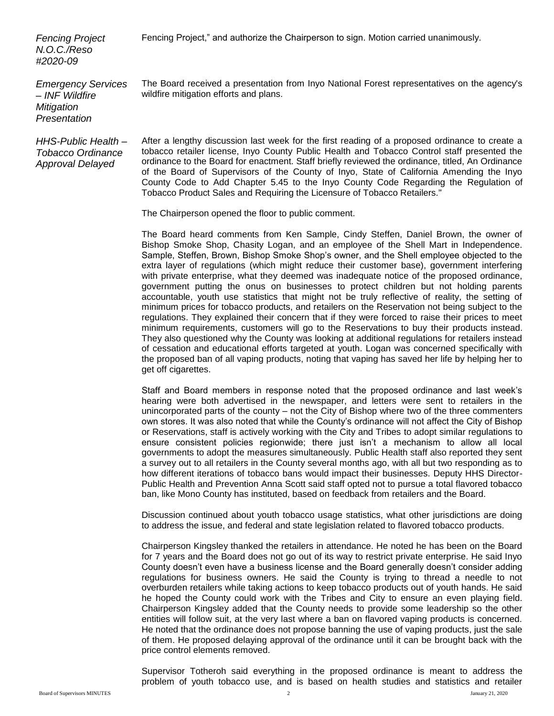Fencing Project," and authorize the Chairperson to sign. Motion carried unanimously.

*Fencing Project N.O.C./Reso #2020-09*

*Emergency Services – INF Wildfire Mitigation Presentation*

*HHS-Public Health – Tobacco Ordinance Approval Delayed*

The Board received a presentation from Inyo National Forest representatives on the agency's wildfire mitigation efforts and plans.

After a lengthy discussion last week for the first reading of a proposed ordinance to create a tobacco retailer license, Inyo County Public Health and Tobacco Control staff presented the ordinance to the Board for enactment. Staff briefly reviewed the ordinance, titled, An Ordinance of the Board of Supervisors of the County of Inyo, State of California Amending the Inyo County Code to Add Chapter 5.45 to the Inyo County Code Regarding the Regulation of Tobacco Product Sales and Requiring the Licensure of Tobacco Retailers."

The Chairperson opened the floor to public comment.

The Board heard comments from Ken Sample, Cindy Steffen, Daniel Brown, the owner of Bishop Smoke Shop, Chasity Logan, and an employee of the Shell Mart in Independence. Sample, Steffen, Brown, Bishop Smoke Shop's owner, and the Shell employee objected to the extra layer of regulations (which might reduce their customer base), government interfering with private enterprise, what they deemed was inadequate notice of the proposed ordinance, government putting the onus on businesses to protect children but not holding parents accountable, youth use statistics that might not be truly reflective of reality, the setting of minimum prices for tobacco products, and retailers on the Reservation not being subject to the regulations. They explained their concern that if they were forced to raise their prices to meet minimum requirements, customers will go to the Reservations to buy their products instead. They also questioned why the County was looking at additional regulations for retailers instead of cessation and educational efforts targeted at youth. Logan was concerned specifically with the proposed ban of all vaping products, noting that vaping has saved her life by helping her to get off cigarettes.

Staff and Board members in response noted that the proposed ordinance and last week's hearing were both advertised in the newspaper, and letters were sent to retailers in the unincorporated parts of the county – not the City of Bishop where two of the three commenters own stores. It was also noted that while the County's ordinance will not affect the City of Bishop or Reservations, staff is actively working with the City and Tribes to adopt similar regulations to ensure consistent policies regionwide; there just isn't a mechanism to allow all local governments to adopt the measures simultaneously. Public Health staff also reported they sent a survey out to all retailers in the County several months ago, with all but two responding as to how different iterations of tobacco bans would impact their businesses. Deputy HHS Director-Public Health and Prevention Anna Scott said staff opted not to pursue a total flavored tobacco ban, like Mono County has instituted, based on feedback from retailers and the Board.

Discussion continued about youth tobacco usage statistics, what other jurisdictions are doing to address the issue, and federal and state legislation related to flavored tobacco products.

Chairperson Kingsley thanked the retailers in attendance. He noted he has been on the Board for 7 years and the Board does not go out of its way to restrict private enterprise. He said Inyo County doesn't even have a business license and the Board generally doesn't consider adding regulations for business owners. He said the County is trying to thread a needle to not overburden retailers while taking actions to keep tobacco products out of youth hands. He said he hoped the County could work with the Tribes and City to ensure an even playing field. Chairperson Kingsley added that the County needs to provide some leadership so the other entities will follow suit, at the very last where a ban on flavored vaping products is concerned. He noted that the ordinance does not propose banning the use of vaping products, just the sale of them. He proposed delaying approval of the ordinance until it can be brought back with the price control elements removed.

Supervisor Totheroh said everything in the proposed ordinance is meant to address the problem of youth tobacco use, and is based on health studies and statistics and retailer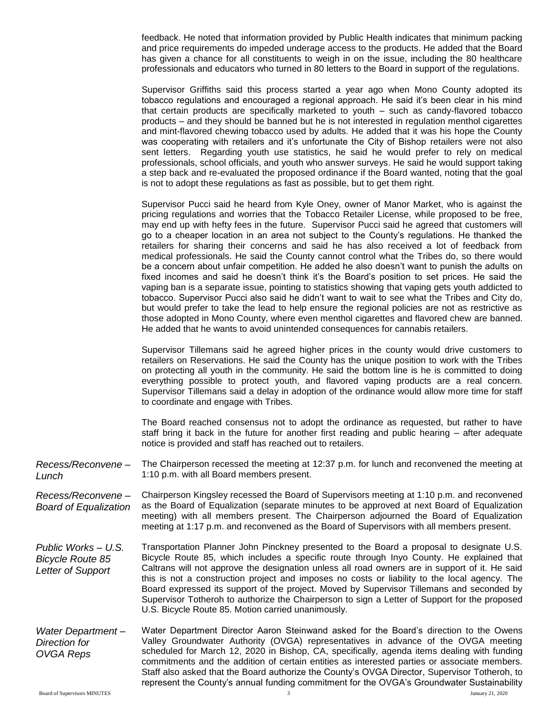feedback. He noted that information provided by Public Health indicates that minimum packing and price requirements do impeded underage access to the products. He added that the Board has given a chance for all constituents to weigh in on the issue, including the 80 healthcare professionals and educators who turned in 80 letters to the Board in support of the regulations.

Supervisor Griffiths said this process started a year ago when Mono County adopted its tobacco regulations and encouraged a regional approach. He said it's been clear in his mind that certain products are specifically marketed to youth – such as candy-flavored tobacco products – and they should be banned but he is not interested in regulation menthol cigarettes and mint-flavored chewing tobacco used by adults. He added that it was his hope the County was cooperating with retailers and it's unfortunate the City of Bishop retailers were not also sent letters. Regarding youth use statistics, he said he would prefer to rely on medical professionals, school officials, and youth who answer surveys. He said he would support taking a step back and re-evaluated the proposed ordinance if the Board wanted, noting that the goal is not to adopt these regulations as fast as possible, but to get them right.

Supervisor Pucci said he heard from Kyle Oney, owner of Manor Market, who is against the pricing regulations and worries that the Tobacco Retailer License, while proposed to be free, may end up with hefty fees in the future. Supervisor Pucci said he agreed that customers will go to a cheaper location in an area not subject to the County's regulations. He thanked the retailers for sharing their concerns and said he has also received a lot of feedback from medical professionals. He said the County cannot control what the Tribes do, so there would be a concern about unfair competition. He added he also doesn't want to punish the adults on fixed incomes and said he doesn't think it's the Board's position to set prices. He said the vaping ban is a separate issue, pointing to statistics showing that vaping gets youth addicted to tobacco. Supervisor Pucci also said he didn't want to wait to see what the Tribes and City do, but would prefer to take the lead to help ensure the regional policies are not as restrictive as those adopted in Mono County, where even menthol cigarettes and flavored chew are banned. He added that he wants to avoid unintended consequences for cannabis retailers.

Supervisor Tillemans said he agreed higher prices in the county would drive customers to retailers on Reservations. He said the County has the unique position to work with the Tribes on protecting all youth in the community. He said the bottom line is he is committed to doing everything possible to protect youth, and flavored vaping products are a real concern. Supervisor Tillemans said a delay in adoption of the ordinance would allow more time for staff to coordinate and engage with Tribes.

The Board reached consensus not to adopt the ordinance as requested, but rather to have staff bring it back in the future for another first reading and public hearing – after adequate notice is provided and staff has reached out to retailers.

*Recess/Reconvene – Lunch* The Chairperson recessed the meeting at 12:37 p.m. for lunch and reconvened the meeting at 1:10 p.m. with all Board members present.

- *Recess/Reconvene – Board of Equalization*  Chairperson Kingsley recessed the Board of Supervisors meeting at 1:10 p.m. and reconvened as the Board of Equalization (separate minutes to be approved at next Board of Equalization meeting) with all members present. The Chairperson adjourned the Board of Equalization meeting at 1:17 p.m. and reconvened as the Board of Supervisors with all members present.
- *Public Works – U.S. Bicycle Route 85 Letter of Support* Transportation Planner John Pinckney presented to the Board a proposal to designate U.S. Bicycle Route 85, which includes a specific route through Inyo County. He explained that Caltrans will not approve the designation unless all road owners are in support of it. He said this is not a construction project and imposes no costs or liability to the local agency. The Board expressed its support of the project. Moved by Supervisor Tillemans and seconded by Supervisor Totheroh to authorize the Chairperson to sign a Letter of Support for the proposed U.S. Bicycle Route 85. Motion carried unanimously.
- *Water Department – Direction for OVGA Reps* Water Department Director Aaron Steinwand asked for the Board's direction to the Owens Valley Groundwater Authority (OVGA) representatives in advance of the OVGA meeting scheduled for March 12, 2020 in Bishop, CA, specifically, agenda items dealing with funding commitments and the addition of certain entities as interested parties or associate members. Staff also asked that the Board authorize the County's OVGA Director, Supervisor Totheroh, to represent the County's annual funding commitment for the OVGA's Groundwater Sustainability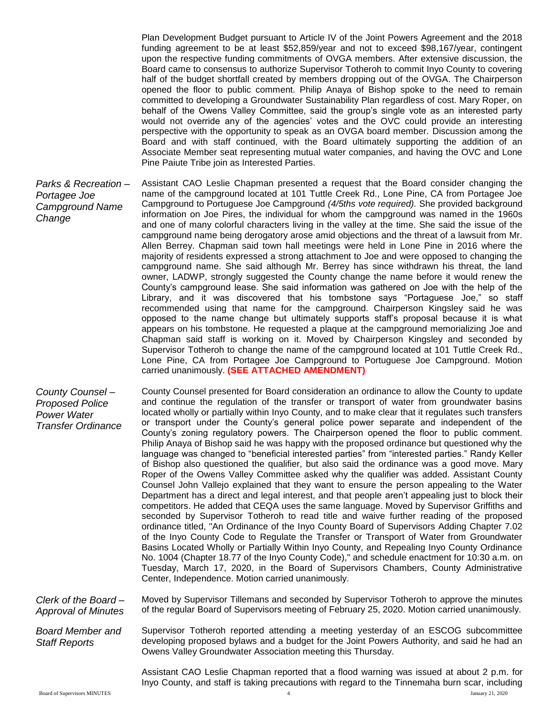Plan Development Budget pursuant to Article IV of the Joint Powers Agreement and the 2018 funding agreement to be at least \$52,859/year and not to exceed \$98,167/year, contingent upon the respective funding commitments of OVGA members. After extensive discussion, the Board came to consensus to authorize Supervisor Totheroh to commit Inyo County to covering half of the budget shortfall created by members dropping out of the OVGA. The Chairperson opened the floor to public comment. Philip Anaya of Bishop spoke to the need to remain committed to developing a Groundwater Sustainability Plan regardless of cost. Mary Roper, on behalf of the Owens Valley Committee, said the group's single vote as an interested party would not override any of the agencies' votes and the OVC could provide an interesting perspective with the opportunity to speak as an OVGA board member. Discussion among the Board and with staff continued, with the Board ultimately supporting the addition of an Associate Member seat representing mutual water companies, and having the OVC and Lone Pine Paiute Tribe join as Interested Parties.

*Parks & Recreation – Portagee Joe Campground Name Change* Assistant CAO Leslie Chapman presented a request that the Board consider changing the name of the campground located at 101 Tuttle Creek Rd., Lone Pine, CA from Portagee Joe Campground to Portuguese Joe Campground *(4/5ths vote required).* She provided background information on Joe Pires, the individual for whom the campground was named in the 1960s and one of many colorful characters living in the valley at the time. She said the issue of the campground name being derogatory arose amid objections and the threat of a lawsuit from Mr. Allen Berrey. Chapman said town hall meetings were held in Lone Pine in 2016 where the majority of residents expressed a strong attachment to Joe and were opposed to changing the campground name. She said although Mr. Berrey has since withdrawn his threat, the land owner, LADWP, strongly suggested the County change the name before it would renew the County's campground lease. She said information was gathered on Joe with the help of the Library, and it was discovered that his tombstone says "Portaguese Joe," so staff recommended using that name for the campground. Chairperson Kingsley said he was opposed to the name change but ultimately supports staff's proposal because it is what appears on his tombstone. He requested a plaque at the campground memorializing Joe and Chapman said staff is working on it. Moved by Chairperson Kingsley and seconded by Supervisor Totheroh to change the name of the campground located at 101 Tuttle Creek Rd., Lone Pine, CA from Portagee Joe Campground to Portuguese Joe Campground. Motion carried unanimously. **(SEE ATTACHED AMENDMENT)**

*County Counsel – Proposed Police Power Water Transfer Ordinance* County Counsel presented for Board consideration an ordinance to allow the County to update and continue the regulation of the transfer or transport of water from groundwater basins located wholly or partially within Inyo County, and to make clear that it regulates such transfers or transport under the County's general police power separate and independent of the County's zoning regulatory powers. The Chairperson opened the floor to public comment. Philip Anaya of Bishop said he was happy with the proposed ordinance but questioned why the language was changed to "beneficial interested parties" from "interested parties." Randy Keller of Bishop also questioned the qualifier, but also said the ordinance was a good move. Mary Roper of the Owens Valley Committee asked why the qualifier was added. Assistant County Counsel John Vallejo explained that they want to ensure the person appealing to the Water Department has a direct and legal interest, and that people aren't appealing just to block their competitors. He added that CEQA uses the same language. Moved by Supervisor Griffiths and seconded by Supervisor Totheroh to read title and waive further reading of the proposed ordinance titled, "An Ordinance of the Inyo County Board of Supervisors Adding Chapter 7.02 of the Inyo County Code to Regulate the Transfer or Transport of Water from Groundwater Basins Located Wholly or Partially Within Inyo County, and Repealing Inyo County Ordinance No. 1004 (Chapter 18.77 of the Inyo County Code)," and schedule enactment for 10:30 a.m. on Tuesday, March 17, 2020, in the Board of Supervisors Chambers, County Administrative Center, Independence. Motion carried unanimously.

*Clerk of the Board – Approval of Minutes* Moved by Supervisor Tillemans and seconded by Supervisor Totheroh to approve the minutes of the regular Board of Supervisors meeting of February 25, 2020. Motion carried unanimously.

*Board Member and Staff Reports* Supervisor Totheroh reported attending a meeting yesterday of an ESCOG subcommittee developing proposed bylaws and a budget for the Joint Powers Authority, and said he had an Owens Valley Groundwater Association meeting this Thursday.

> Assistant CAO Leslie Chapman reported that a flood warning was issued at about 2 p.m. for Inyo County, and staff is taking precautions with regard to the Tinnemaha burn scar, including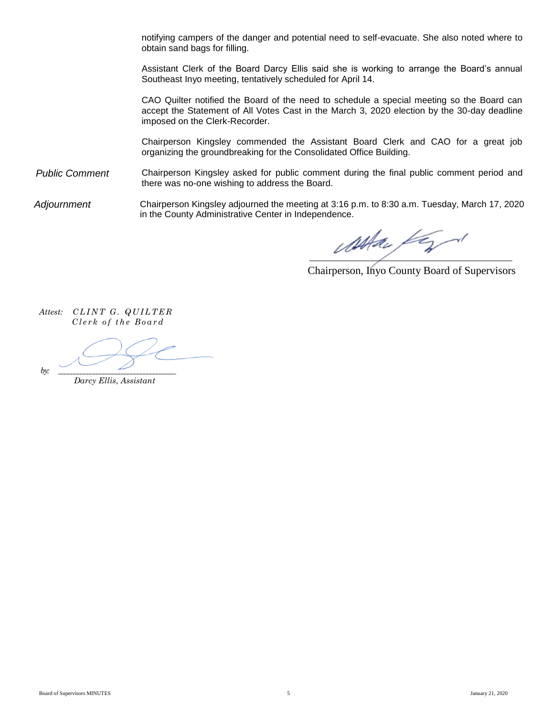notifying campers of the danger and potential need to self-evacuate. She also noted where to obtain sand bags for filling.

Assistant Clerk of the Board Darcy Ellis said she is working to arrange the Board's annual Southeast Inyo meeting, tentatively scheduled for April 14.

CAO Quilter notified the Board of the need to schedule a special meeting so the Board can accept the Statement of All Votes Cast in the March 3, 2020 election by the 30-day deadline imposed on the Clerk-Recorder.

Chairperson Kingsley commended the Assistant Board Clerk and CAO for a great job organizing the groundbreaking for the Consolidated Office Building.

*Public Comment* Chairperson Kingsley asked for public comment during the final public comment period and there was no-one wishing to address the Board.

*Adjournment* Chairperson Kingsley adjourned the meeting at 3:16 p.m. to 8:30 a.m. Tuesday, March 17, 2020 in the County Administrative Center in Independence.

washau fazd

Chairperson, Inyo County Board of Supervisors

*Attest: CLINT G. QUILTER Clerk of the Board* 

 *by: \_\_\_\_\_\_\_\_\_\_\_\_\_\_\_\_\_\_\_\_\_\_\_\_\_\_\_\_\_\_\_\_\_\_\_\_\_* 

*Darcy Ellis, Assistant*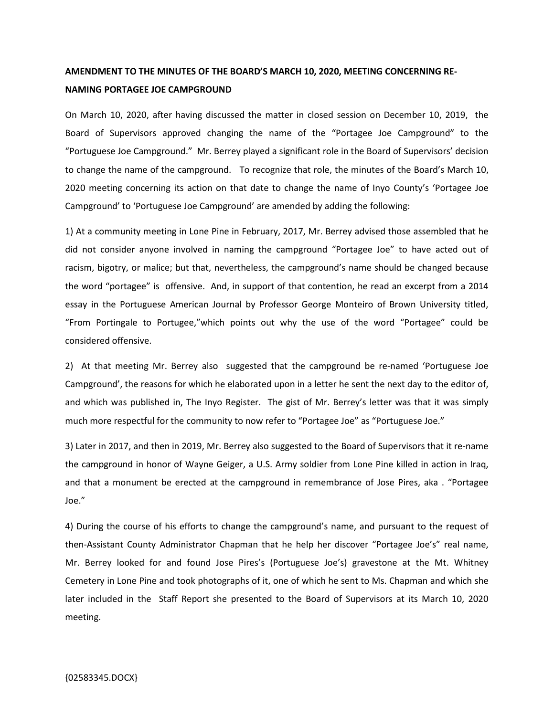## **AMENDMENT TO THE MINUTES OF THE BOARD'S MARCH 10, 2020, MEETING CONCERNING RE-NAMING PORTAGEE JOE CAMPGROUND**

On March 10, 2020, after having discussed the matter in closed session on December 10, 2019, the Board of Supervisors approved changing the name of the "Portagee Joe Campground" to the "Portuguese Joe Campground." Mr. Berrey played a significant role in the Board of Supervisors' decision to change the name of the campground. To recognize that role, the minutes of the Board's March 10, 2020 meeting concerning its action on that date to change the name of Inyo County's 'Portagee Joe Campground' to 'Portuguese Joe Campground' are amended by adding the following:

1) At a community meeting in Lone Pine in February, 2017, Mr. Berrey advised those assembled that he did not consider anyone involved in naming the campground "Portagee Joe" to have acted out of racism, bigotry, or malice; but that, nevertheless, the campground's name should be changed because the word "portagee" is offensive. And, in support of that contention, he read an excerpt from a 2014 essay in the Portuguese American Journal by Professor George Monteiro of Brown University titled, "From Portingale to Portugee,"which points out why the use of the word "Portagee" could be considered offensive.

2) At that meeting Mr. Berrey also suggested that the campground be re-named 'Portuguese Joe Campground', the reasons for which he elaborated upon in a letter he sent the next day to the editor of, and which was published in, The Inyo Register. The gist of Mr. Berrey's letter was that it was simply much more respectful for the community to now refer to "Portagee Joe" as "Portuguese Joe."

3) Later in 2017, and then in 2019, Mr. Berrey also suggested to the Board of Supervisors that it re-name the campground in honor of Wayne Geiger, a U.S. Army soldier from Lone Pine killed in action in Iraq, and that a monument be erected at the campground in remembrance of Jose Pires, aka . "Portagee Joe."

4) During the course of his efforts to change the campground's name, and pursuant to the request of then-Assistant County Administrator Chapman that he help her discover "Portagee Joe's" real name, Mr. Berrey looked for and found Jose Pires's (Portuguese Joe's) gravestone at the Mt. Whitney Cemetery in Lone Pine and took photographs of it, one of which he sent to Ms. Chapman and which she later included in the Staff Report she presented to the Board of Supervisors at its March 10, 2020 meeting.